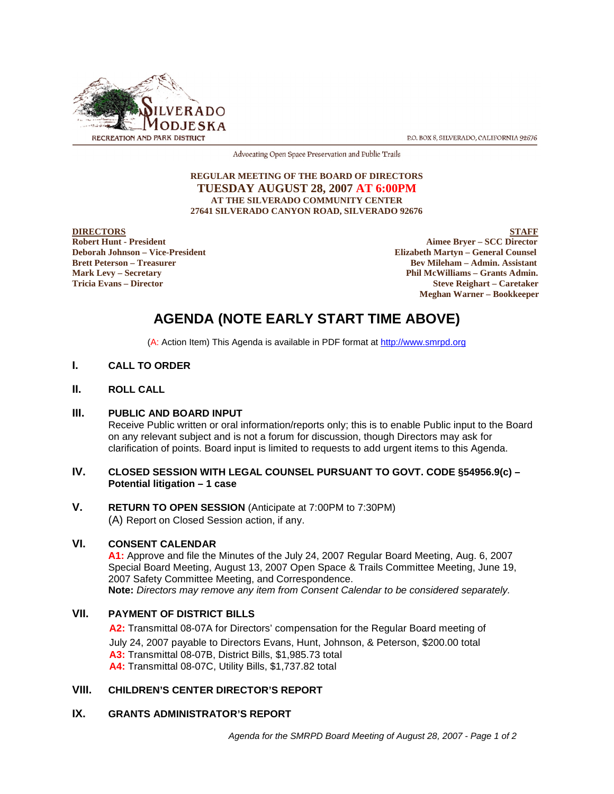

P.O. BOX 8, SILVERADO, CALIFORNIA 92676

Advocating Open Space Preservation and Public Trails

#### **REGULAR MEETING OF THE BOARD OF DIRECTORS TUESDAY AUGUST 28, 2007 AT 6:00PM AT THE SILVERADO COMMUNITY CENTER 27641 SILVERADO CANYON ROAD, SILVERADO 92676**

EXTREE TORS<br> **Robert Hunt - President**<br> **Robert Hunt - President** Robert Hunt - President **Aimee Bryer – SCC Director**<br>
Deborah Johnson – Vice-President **Aimee Bryer – SCC Director**<br>
Blizabeth Martyn – General Counsel **Elizabeth Martyn – General Counsel Brett Peterson – Treasurer Serverson – Admin. Assistant Mark Levy – Secretary Phil McWilliams – Grants Admin. Tricia Evans – Director Steve Reighart – Caretaker Meghan Warner – Bookkeeper**

# **AGENDA (NOTE EARLY START TIME ABOVE)**

(A: Action Item) This Agenda is available in PDF format at http://www.smrpd.org

#### **I. CALL TO ORDER**

#### **II. ROLL CALL**

#### **III. PUBLIC AND BOARD INPUT**

Receive Public written or oral information/reports only; this is to enable Public input to the Board on any relevant subject and is not a forum for discussion, though Directors may ask for clarification of points. Board input is limited to requests to add urgent items to this Agenda.

#### **IV. CLOSED SESSION WITH LEGAL COUNSEL PURSUANT TO GOVT. CODE §54956.9(c) – Potential litigation – 1 case**

# **V. RETURN TO OPEN SESSION** (Anticipate at 7:00PM to 7:30PM) (A) Report on Closed Session action, if any.

#### **VI. CONSENT CALENDAR**

**A1:** Approve and file the Minutes of the July 24, 2007 Regular Board Meeting, Aug. 6, 2007 Special Board Meeting, August 13, 2007 Open Space & Trails Committee Meeting, June 19, 2007 Safety Committee Meeting, and Correspondence. **Note:** *Directors may remove any item from Consent Calendar to be considered separately.*

# **VII. PAYMENT OF DISTRICT BILLS**

**A2:** Transmittal 08-07A for Directors' compensation for the Regular Board meeting of July 24, 2007 payable to Directors Evans, Hunt, Johnson, & Peterson, \$200.00 total **A3:** Transmittal 08-07B, District Bills, \$1,985.73 total **A4:** Transmittal 08-07C, Utility Bills, \$1,737.82 total

# **VIII. CHILDREN'S CENTER DIRECTOR'S REPORT**

# **IX. GRANTS ADMINISTRATOR'S REPORT**

*Agenda for the SMRPD Board Meeting of August 28, 2007 - Page 1 of 2*